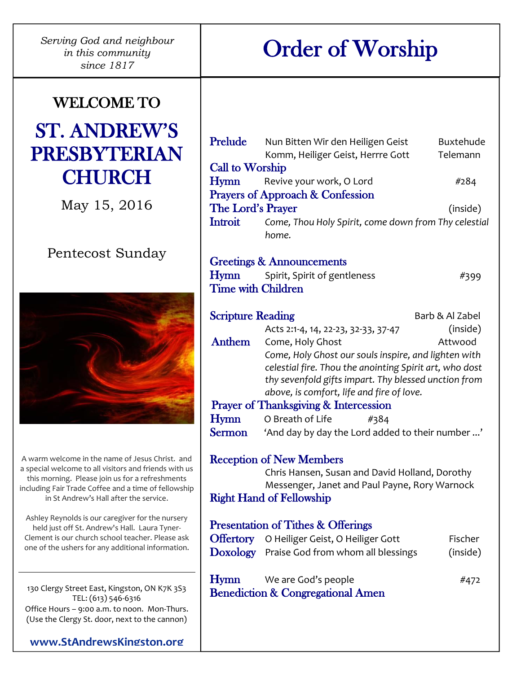*Serving God and neighbour in this community since 1817*

# Order of Worship

# WELCOME TO ST. ANDREW'S PRESBYTERIAN

May 15, 2016

**CHURCH** 

## Pentecost Sunday



A warm welcome in the name of Jesus Christ. and a special welcome to all visitors and friends with us this morning. Please join us for a refreshments including Fair Trade Coffee and a time of fellowship in St Andrew's Hall after the service.

Ashley Reynolds is our caregiver for the nursery held just off St. Andrew's Hall. Laura Tyner-Clement is our church school teacher. Please ask one of the ushers for any additional information.

130 Clergy Street East, Kingston, ON K7K 3S3 TEL: (613) 546-6316 Office Hours – 9:00 a.m. to noon. Mon-Thurs. (Use the Clergy St. door, next to the cannon)

**[www.StAndrewsKingston.org](http://www.standrewskingston.org/)**

| Prelude                                     | Nun Bitten Wir den Heiligen Geist<br>Komm, Heiliger Geist, Herrre Gott | <b>Buxtehude</b><br>Telemann |  |  |
|---------------------------------------------|------------------------------------------------------------------------|------------------------------|--|--|
| <b>Call to Worship</b>                      |                                                                        |                              |  |  |
| Hymn                                        | Revive your work, O Lord                                               | #284                         |  |  |
|                                             | <b>Prayers of Approach &amp; Confession</b>                            |                              |  |  |
| The Lord's Prayer                           |                                                                        | (inside)                     |  |  |
| <b>Introit</b>                              | Come, Thou Holy Spirit, come down from Thy celestial<br>home.          |                              |  |  |
|                                             | <b>Greetings &amp; Announcements</b>                                   |                              |  |  |
|                                             | Hymn Spirit, Spirit of gentleness                                      | #399                         |  |  |
| <b>Time with Children</b>                   |                                                                        |                              |  |  |
| <b>Scripture Reading</b><br>Barb & Al Zabel |                                                                        |                              |  |  |
|                                             | Acts 2:1-4, 14, 22-23, 32-33, 37-47                                    | (inside)                     |  |  |
| Anthem                                      | Come, Holy Ghost                                                       | Attwood                      |  |  |
|                                             | Come, Holy Ghost our souls inspire, and lighten with                   |                              |  |  |
|                                             | celestial fire. Thou the anointing Spirit art, who dost                |                              |  |  |
|                                             | thy sevenfold gifts impart. Thy blessed unction from                   |                              |  |  |
|                                             | above, is comfort, life and fire of love.                              |                              |  |  |
|                                             | Prayer of Thanksgiving & Intercession                                  |                              |  |  |
| Hymn                                        | O Breath of Life<br>#384                                               |                              |  |  |
| <b>Sermon</b>                               | 'And day by day the Lord added to their number '                       |                              |  |  |
|                                             | <b>Reception of New Members</b>                                        |                              |  |  |
|                                             | Chris Hansen, Susan and David Holland, Dorothy                         |                              |  |  |
|                                             | Messenger, Janet and Paul Payne, Rory Warnock                          |                              |  |  |
|                                             | <b>Right Hand of Fellowship</b>                                        |                              |  |  |
|                                             | <b>Presentation of Tithes &amp; Offerings</b>                          |                              |  |  |
|                                             | <b>Offertory</b> O Heiliger Geist, O Heiliger Gott                     | Fischer                      |  |  |
|                                             | Doxology Praise God from whom all blessings                            | (inside)                     |  |  |
| Hymn                                        | We are God's people                                                    | #472                         |  |  |
|                                             | <b>Benediction &amp; Congregational Amen</b>                           |                              |  |  |
|                                             |                                                                        |                              |  |  |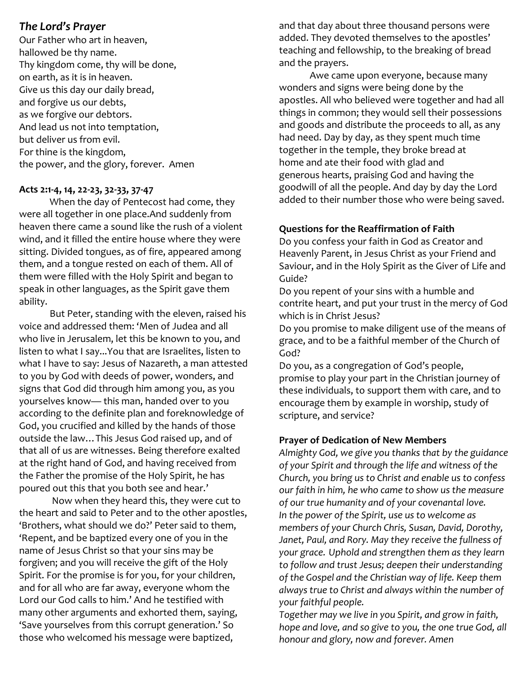#### *The Lord's Prayer*

Our Father who art in heaven, hallowed be thy name. Thy kingdom come, thy will be done, on earth, as it is in heaven. Give us this day our daily bread, and forgive us our debts, as we forgive our debtors. And lead us not into temptation, but deliver us from evil. For thine is the kingdom, the power, and the glory, forever. Amen

#### **Acts 2:1-4, 14, 22-23, 32-33, 37-47**

When the day of Pentecost had come, they were all together in one place.And suddenly from heaven there came a sound like the rush of a violent wind, and it filled the entire house where they were sitting. Divided tongues, as of fire, appeared among them, and a tongue rested on each of them. All of them were filled with the Holy Spirit and began to speak in other languages, as the Spirit gave them ability.

But Peter, standing with the eleven, raised his voice and addressed them: 'Men of Judea and all who live in Jerusalem, let this be known to you, and listen to what I say...You that are Israelites, listen to what I have to say: Jesus of Nazareth, a man attested to you by God with deeds of power, wonders, and signs that God did through him among you, as you yourselves know— this man, handed over to you according to the definite plan and foreknowledge of God, you crucified and killed by the hands of those outside the law…This Jesus God raised up, and of that all of us are witnesses. Being therefore exalted at the right hand of God, and having received from the Father the promise of the Holy Spirit, he has poured out this that you both see and hear.'

Now when they heard this, they were cut to the heart and said to Peter and to the other apostles, 'Brothers, what should we do?' Peter said to them, 'Repent, and be baptized every one of you in the name of Jesus Christ so that your sins may be forgiven; and you will receive the gift of the Holy Spirit. For the promise is for you, for your children, and for all who are far away, everyone whom the Lord our God calls to him.' And he testified with many other arguments and exhorted them, saying, 'Save yourselves from this corrupt generation.' So those who welcomed his message were baptized,

and that day about three thousand persons were added. They devoted themselves to the apostles' teaching and fellowship, to the breaking of bread and the prayers.

Awe came upon everyone, because many wonders and signs were being done by the apostles. All who believed were together and had all things in common; they would sell their possessions and goods and distribute the proceeds to all, as any had need. Day by day, as they spent much time together in the temple, they broke bread at home and ate their food with glad and generous hearts, praising God and having the goodwill of all the people. And day by day the Lord added to their number those who were being saved.

#### **Questions for the Reaffirmation of Faith**

Do you confess your faith in God as Creator and Heavenly Parent, in Jesus Christ as your Friend and Saviour, and in the Holy Spirit as the Giver of Life and Guide?

Do you repent of your sins with a humble and contrite heart, and put your trust in the mercy of God which is in Christ Jesus?

Do you promise to make diligent use of the means of grace, and to be a faithful member of the Church of God?

Do you, as a congregation of God's people, promise to play your part in the Christian journey of these individuals, to support them with care, and to encourage them by example in worship, study of scripture, and service?

#### **Prayer of Dedication of New Members**

*Almighty God, we give you thanks that by the guidance of your Spirit and through the life and witness of the Church, you bring us to Christ and enable us to confess our faith in him, he who came to show us the measure of our true humanity and of your covenantal love. In the power of the Spirit, use us to welcome as members of your Church Chris, Susan, David, Dorothy, Janet, Paul, and Rory. May they receive the fullness of your grace. Uphold and strengthen them as they learn to follow and trust Jesus; deepen their understanding of the Gospel and the Christian way of life. Keep them always true to Christ and always within the number of your faithful people.*

*Together may we live in you Spirit, and grow in faith, hope and love, and so give to you, the one true God, all honour and glory, now and forever. Amen*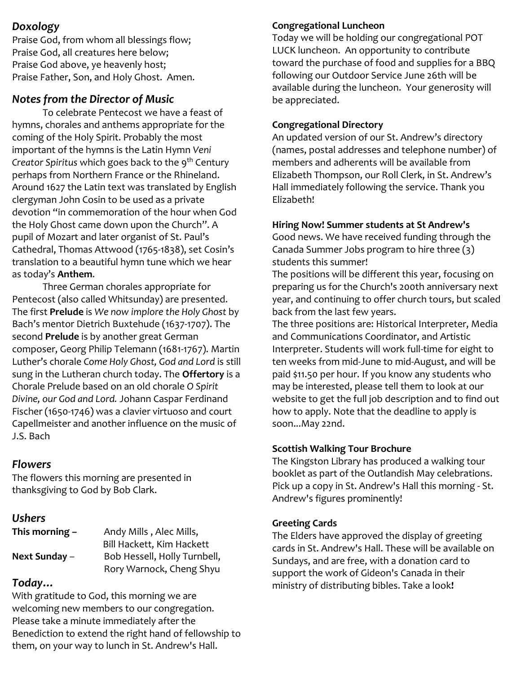#### *Doxology*

Praise God, from whom all blessings flow; Praise God, all creatures here below; Praise God above, ye heavenly host; Praise Father, Son, and Holy Ghost. Amen.

## *Notes from the Director of Music*

To celebrate Pentecost we have a feast of hymns, chorales and anthems appropriate for the coming of the Holy Spirit. Probably the most important of the hymns is the Latin Hymn *Veni Creator Spiritus* which goes back to the 9<sup>th</sup> Century perhaps from Northern France or the Rhineland. Around 1627 the Latin text was translated by English clergyman John Cosin to be used as a private devotion "in commemoration of the hour when God the Holy Ghost came down upon the Church". A pupil of Mozart and later organist of St. Paul's Cathedral, Thomas Attwood (1765-1838), set Cosin's translation to a beautiful hymn tune which we hear as today's **Anthem**.

Three German chorales appropriate for Pentecost (also called Whitsunday) are presented. The first **Prelude** is *We now implore the Holy Ghost* by Bach's mentor Dietrich Buxtehude (1637-1707). The second **Prelude** is by another great German composer, Georg Philip Telemann (1681-1767). Martin Luther's chorale *Come Holy Ghost, God and Lord* is still sung in the Lutheran church today. The **Offertory** is a Chorale Prelude based on an old chorale *O Spirit Divine, our God and Lord.* Johann Caspar Ferdinand Fischer (1650-1746) was a clavier virtuoso and court Capellmeister and another influence on the music of J.S. Bach

#### *Flowers*

The flowers this morning are presented in thanksgiving to God by Bob Clark.

## *Ushers*

| This morning - | Andy Mills, Alec Mills,      |  |
|----------------|------------------------------|--|
|                | Bill Hackett, Kim Hackett    |  |
| Next Sunday -  | Bob Hessell, Holly Turnbell, |  |
|                | Rory Warnock, Cheng Shyu     |  |

## *Today…*

With gratitude to God, this morning we are welcoming new members to our congregation. Please take a minute immediately after the Benediction to extend the right hand of fellowship to them, on your way to lunch in St. Andrew's Hall.

## **Congregational Luncheon**

Today we will be holding our congregational POT LUCK luncheon. An opportunity to contribute toward the purchase of food and supplies for a BBQ following our Outdoor Service June 26th will be available during the luncheon. Your generosity will be appreciated.

## **Congregational Directory**

An updated version of our St. Andrew's directory (names, postal addresses and telephone number) of members and adherents will be available from Elizabeth Thompson, our Roll Clerk, in St. Andrew's Hall immediately following the service. Thank you Elizabeth!

### **Hiring Now! Summer students at St Andrew's**

Good news. We have received funding through the Canada Summer Jobs program to hire three (3) students this summer!

The positions will be different this year, focusing on preparing us for the Church's 200th anniversary next year, and continuing to offer church tours, but scaled back from the last few years.

The three positions are: Historical Interpreter, Media and Communications Coordinator, and Artistic Interpreter. Students will work full-time for eight to ten weeks from mid-June to mid-August, and will be paid \$11.50 per hour. If you know any students who may be interested, please tell them to look at our website to get the full job description and to find out how to apply. Note that the deadline to apply is soon...May 22nd.

#### **Scottish Walking Tour Brochure**

The Kingston Library has produced a walking tour booklet as part of the Outlandish May celebrations. Pick up a copy in St. Andrew's Hall this morning - St. Andrew's figures prominently!

#### **Greeting Cards**

The Elders have approved the display of greeting cards in St. Andrew's Hall. These will be available on Sundays, and are free, with a donation card to support the work of Gideon's Canada in their ministry of distributing bibles. Take a look**!**